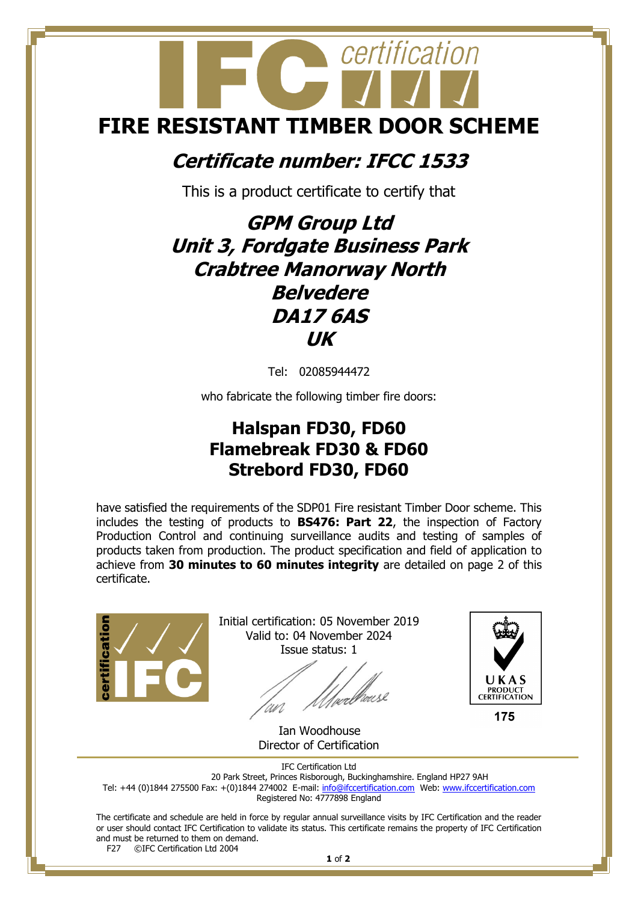# certification **FIRE RESISTANT TIMBER DOOR SCHEME**

### **Certificate number: IFCC 1533**

This is a product certificate to certify that

## **GPM Group Ltd Unit 3, Fordgate Business Park Crabtree Manorway North Belvedere DA17 6AS UK**

Tel: 02085944472

who fabricate the following timber fire doors:

#### **Halspan FD30, FD60 Flamebreak FD30 & FD60 Strebord FD30, FD60**

have satisfied the requirements of the SDP01 Fire resistant Timber Door scheme. This includes the testing of products to **BS476: Part 22**, the inspection of Factory Production Control and continuing surveillance audits and testing of samples of products taken from production. The product specification and field of application to achieve from **30 minutes to 60 minutes integrity** are detailed on page 2 of this certificate.



Initial certification: 05 November 2019 Valid to: 04 November 2024 Issue status: 1

*(perbrouse* an



175

 Ian Woodhouse Director of Certification

IFC Certification Ltd

20 Park Street, Princes Risborough, Buckinghamshire. England HP27 9AH Tel: +44 (0)1844 275500 Fax: +(0)1844 274002 E-mail[: info@ifccertification.com](mailto:info@ifccertification.com) Web: [www.ifccertification.com](http://www.ifccertification.com/)

Registered No: 4777898 England

The certificate and schedule are held in force by regular annual surveillance visits by IFC Certification and the reader or user should contact IFC Certification to validate its status. This certificate remains the property of IFC Certification and must be returned to them on demand.<br>F27  $\odot$  FC Certification Ltd 2004

©IFC Certification Ltd 2004